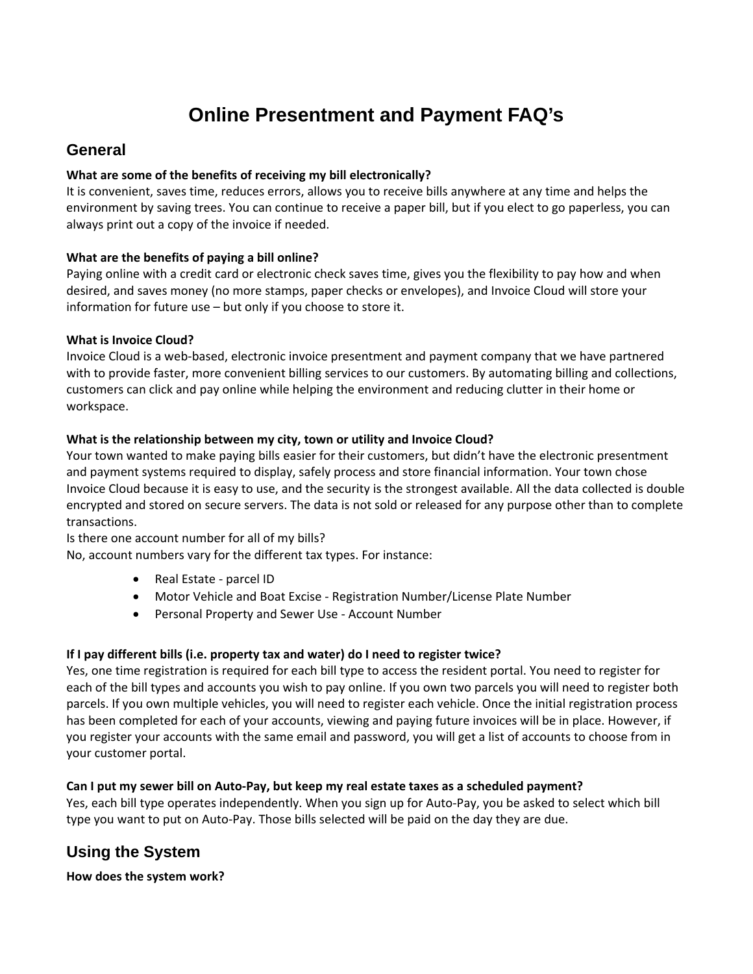# **Online Presentment and Payment FAQ's**

# **General**

# **What are some of the benefits of receiving my bill electronically?**

It is convenient, saves time, reduces errors, allows you to receive bills anywhere at any time and helps the environment by saving trees. You can continue to receive a paper bill, but if you elect to go paperless, you can always print out a copy of the invoice if needed.

# **What are the benefits of paying a bill online?**

Paying online with a credit card or electronic check saves time, gives you the flexibility to pay how and when desired, and saves money (no more stamps, paper checks or envelopes), and Invoice Cloud will store your information for future use – but only if you choose to store it.

# **What is Invoice Cloud?**

Invoice Cloud is a web‐based, electronic invoice presentment and payment company that we have partnered with to provide faster, more convenient billing services to our customers. By automating billing and collections, customers can click and pay online while helping the environment and reducing clutter in their home or workspace.

# **What is the relationship between my city, town or utility and Invoice Cloud?**

Your town wanted to make paying bills easier for their customers, but didn't have the electronic presentment and payment systems required to display, safely process and store financial information. Your town chose Invoice Cloud because it is easy to use, and the security is the strongest available. All the data collected is double encrypted and stored on secure servers. The data is not sold or released for any purpose other than to complete transactions.

Is there one account number for all of my bills?

No, account numbers vary for the different tax types. For instance:

- Real Estate parcel ID
- Motor Vehicle and Boat Excise Registration Number/License Plate Number
- Personal Property and Sewer Use ‐ Account Number

#### **If I pay different bills (i.e. property tax and water) do I need to register twice?**

Yes, one time registration is required for each bill type to access the resident portal. You need to register for each of the bill types and accounts you wish to pay online. If you own two parcels you will need to register both parcels. If you own multiple vehicles, you will need to register each vehicle. Once the initial registration process has been completed for each of your accounts, viewing and paying future invoices will be in place. However, if you register your accounts with the same email and password, you will get a list of accounts to choose from in your customer portal.

# Can I put my sewer bill on Auto-Pay, but keep my real estate taxes as a scheduled payment?

Yes, each bill type operates independently. When you sign up for Auto‐Pay, you be asked to select which bill type you want to put on Auto‐Pay. Those bills selected will be paid on the day they are due.

# **Using the System**

**How does the system work?**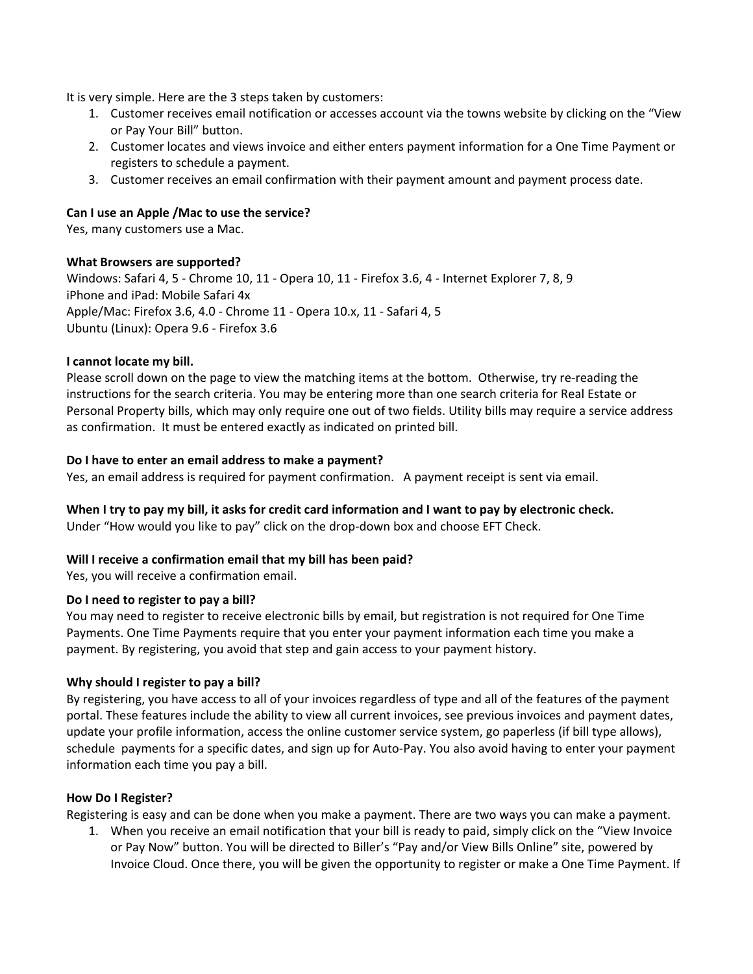It is very simple. Here are the 3 steps taken by customers:

- 1. Customer receives email notification or accesses account via the towns website by clicking on the "View or Pay Your Bill" button.
- 2. Customer locates and views invoice and either enters payment information for a One Time Payment or registers to schedule a payment.
- 3. Customer receives an email confirmation with their payment amount and payment process date.

#### **Can I use an Apple /Mac to use the service?**

Yes, many customers use a Mac.

#### **What Browsers are supported?**

Windows: Safari 4, 5 ‐ Chrome 10, 11 ‐ Opera 10, 11 ‐ Firefox 3.6, 4 ‐ Internet Explorer 7, 8, 9 iPhone and iPad: Mobile Safari 4x Apple/Mac: Firefox 3.6, 4.0 ‐ Chrome 11 ‐ Opera 10.x, 11 ‐ Safari 4, 5 Ubuntu (Linux): Opera 9.6 ‐ Firefox 3.6

#### **I cannot locate my bill.**

Please scroll down on the page to view the matching items at the bottom. Otherwise, try re-reading the instructions for the search criteria. You may be entering more than one search criteria for Real Estate or Personal Property bills, which may only require one out of two fields. Utility bills may require a service address as confirmation. It must be entered exactly as indicated on printed bill.

#### **Do I have to enter an email address to make a payment?**

Yes, an email address is required for payment confirmation. A payment receipt is sent via email.

# When I try to pay my bill, it asks for credit card information and I want to pay by electronic check.

Under "How would you like to pay" click on the drop‐down box and choose EFT Check.

#### **Will I receive a confirmation email that my bill has been paid?**

Yes, you will receive a confirmation email.

#### **Do I need to register to pay a bill?**

You may need to register to receive electronic bills by email, but registration is not required for One Time Payments. One Time Payments require that you enter your payment information each time you make a payment. By registering, you avoid that step and gain access to your payment history.

#### **Why should I register to pay a bill?**

By registering, you have access to all of your invoices regardless of type and all of the features of the payment portal. These features include the ability to view all current invoices, see previous invoices and payment dates, update your profile information, access the online customer service system, go paperless (if bill type allows), schedule payments for a specific dates, and sign up for Auto‐Pay. You also avoid having to enter your payment information each time you pay a bill.

#### **How Do I Register?**

Registering is easy and can be done when you make a payment. There are two ways you can make a payment.

1. When you receive an email notification that your bill is ready to paid, simply click on the "View Invoice or Pay Now" button. You will be directed to Biller's "Pay and/or View Bills Online" site, powered by Invoice Cloud. Once there, you will be given the opportunity to register or make a One Time Payment. If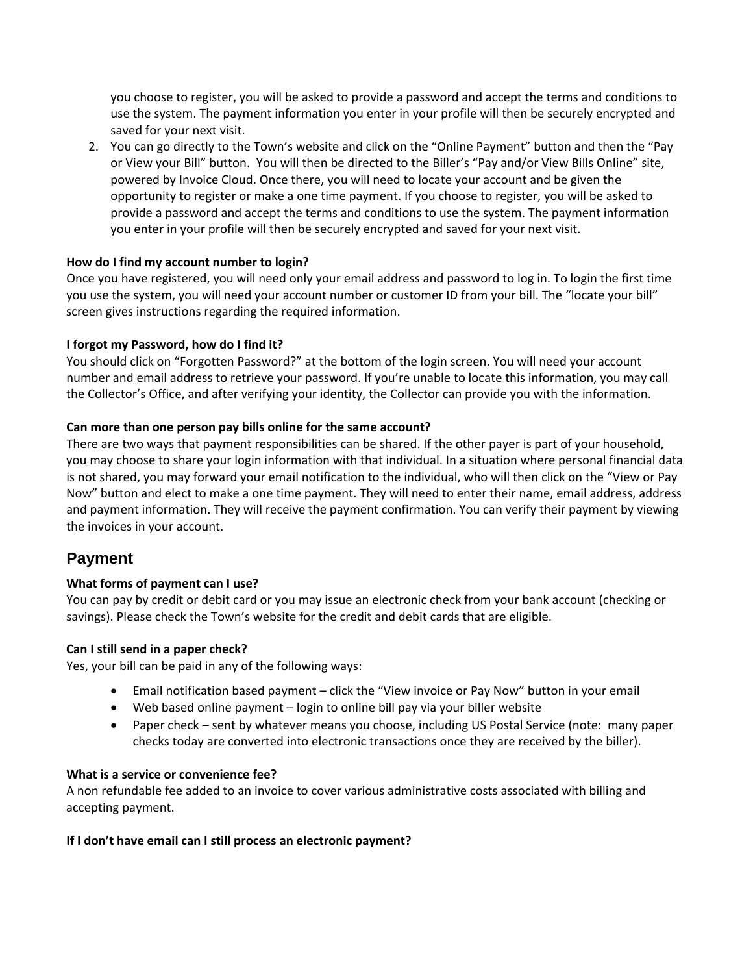you choose to register, you will be asked to provide a password and accept the terms and conditions to use the system. The payment information you enter in your profile will then be securely encrypted and saved for your next visit.

2. You can go directly to the Town's website and click on the "Online Payment" button and then the "Pay or View your Bill" button. You will then be directed to the Biller's "Pay and/or View Bills Online" site, powered by Invoice Cloud. Once there, you will need to locate your account and be given the opportunity to register or make a one time payment. If you choose to register, you will be asked to provide a password and accept the terms and conditions to use the system. The payment information you enter in your profile will then be securely encrypted and saved for your next visit.

# **How do I find my account number to login?**

Once you have registered, you will need only your email address and password to log in. To login the first time you use the system, you will need your account number or customer ID from your bill. The "locate your bill" screen gives instructions regarding the required information.

# **I forgot my Password, how do I find it?**

You should click on "Forgotten Password?" at the bottom of the login screen. You will need your account number and email address to retrieve your password. If you're unable to locate this information, you may call the Collector's Office, and after verifying your identity, the Collector can provide you with the information.

# **Can more than one person pay bills online for the same account?**

There are two ways that payment responsibilities can be shared. If the other payer is part of your household, you may choose to share your login information with that individual. In a situation where personal financial data is not shared, you may forward your email notification to the individual, who will then click on the "View or Pay Now" button and elect to make a one time payment. They will need to enter their name, email address, address and payment information. They will receive the payment confirmation. You can verify their payment by viewing the invoices in your account.

# **Payment**

# **What forms of payment can I use?**

You can pay by credit or debit card or you may issue an electronic check from your bank account (checking or savings). Please check the Town's website for the credit and debit cards that are eligible.

#### **Can I still send in a paper check?**

Yes, your bill can be paid in any of the following ways:

- Email notification based payment click the "View invoice or Pay Now" button in your email
- Web based online payment login to online bill pay via your biller website
- Paper check sent by whatever means you choose, including US Postal Service (note: many paper checks today are converted into electronic transactions once they are received by the biller).

#### **What is a service or convenience fee?**

A non refundable fee added to an invoice to cover various administrative costs associated with billing and accepting payment.

#### **If I don't have email can I still process an electronic payment?**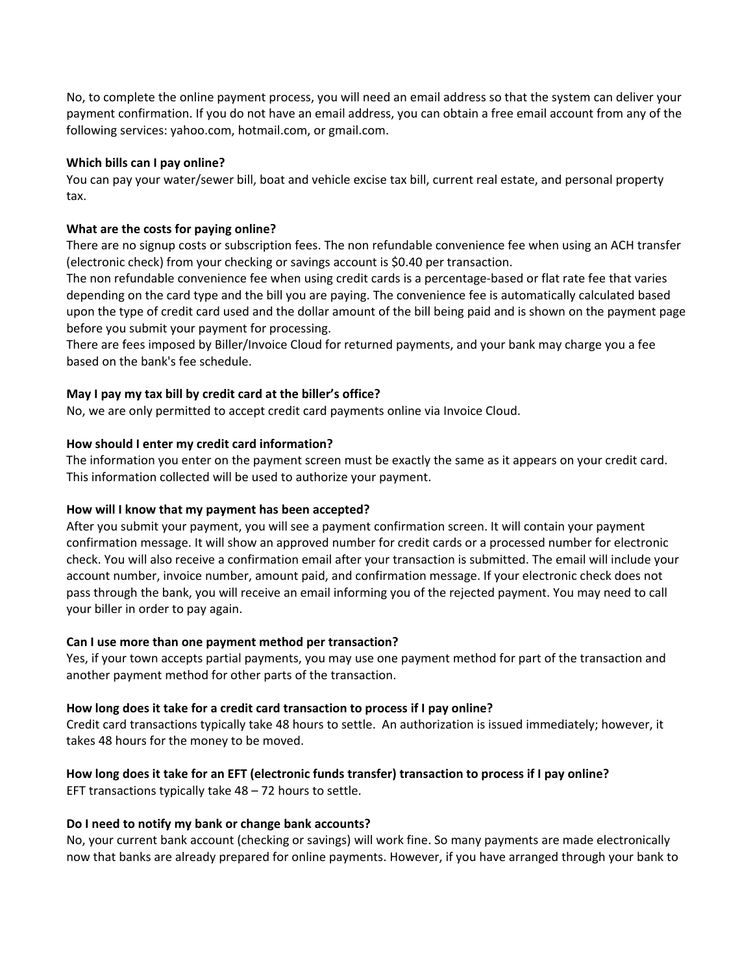No, to complete the online payment process, you will need an email address so that the system can deliver your payment confirmation. If you do not have an email address, you can obtain a free email account from any of the following services: yahoo.com, hotmail.com, or gmail.com.

#### **Which bills can I pay online?**

You can pay your water/sewer bill, boat and vehicle excise tax bill, current real estate, and personal property tax.

#### **What are the costs for paying online?**

There are no signup costs or subscription fees. The non refundable convenience fee when using an ACH transfer (electronic check) from your checking or savings account is \$0.40 per transaction.

The non refundable convenience fee when using credit cards is a percentage‐based or flat rate fee that varies depending on the card type and the bill you are paying. The convenience fee is automatically calculated based upon the type of credit card used and the dollar amount of the bill being paid and is shown on the payment page before you submit your payment for processing.

There are fees imposed by Biller/Invoice Cloud for returned payments, and your bank may charge you a fee based on the bank's fee schedule.

#### **May I pay my tax bill by credit card at the biller's office?**

No, we are only permitted to accept credit card payments online via Invoice Cloud.

#### **How should I enter my credit card information?**

The information you enter on the payment screen must be exactly the same as it appears on your credit card. This information collected will be used to authorize your payment.

#### **How will I know that my payment has been accepted?**

After you submit your payment, you will see a payment confirmation screen. It will contain your payment confirmation message. It will show an approved number for credit cards or a processed number for electronic check. You will also receive a confirmation email after your transaction is submitted. The email will include your account number, invoice number, amount paid, and confirmation message. If your electronic check does not pass through the bank, you will receive an email informing you of the rejected payment. You may need to call your biller in order to pay again.

#### **Can I use more than one payment method per transaction?**

Yes, if your town accepts partial payments, you may use one payment method for part of the transaction and another payment method for other parts of the transaction.

#### **How long does it take for a credit card transaction to process if I pay online?**

Credit card transactions typically take 48 hours to settle. An authorization is issued immediately; however, it takes 48 hours for the money to be moved.

#### How long does it take for an EFT (electronic funds transfer) transaction to process if I pay online?

EFT transactions typically take 48 – 72 hours to settle.

#### **Do I need to notify my bank or change bank accounts?**

No, your current bank account (checking or savings) will work fine. So many payments are made electronically now that banks are already prepared for online payments. However, if you have arranged through your bank to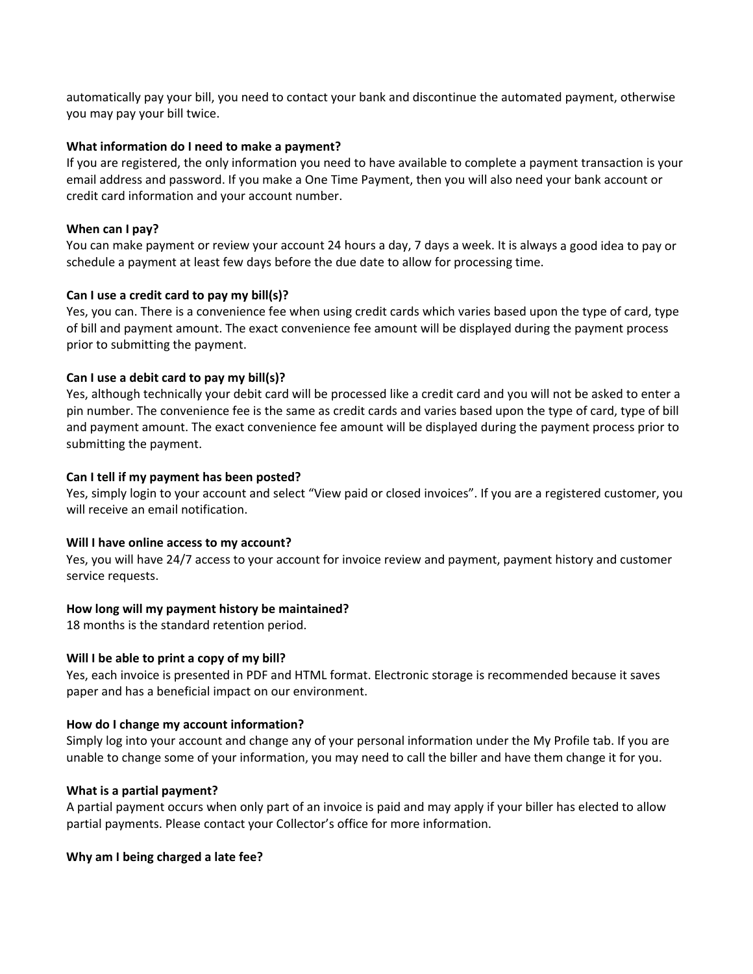automatically pay your bill, you need to contact your bank and discontinue the automated payment, otherwise you may pay your bill twice.

#### **What information do I need to make a payment?**

If you are registered, the only information you need to have available to complete a payment transaction is your email address and password. If you make a One Time Payment, then you will also need your bank account or credit card information and your account number.

#### **When can I pay?**

You can make payment or review your account 24 hours a day, 7 days a week. It is always a good idea to pay or schedule a payment at least few days before the due date to allow for processing time.

#### **Can I use a credit card to pay my bill(s)?**

Yes, you can. There is a convenience fee when using credit cards which varies based upon the type of card, type of bill and payment amount. The exact convenience fee amount will be displayed during the payment process prior to submitting the payment.

#### **Can I use a debit card to pay my bill(s)?**

Yes, although technically your debit card will be processed like a credit card and you will not be asked to enter a pin number. The convenience fee is the same as credit cards and varies based upon the type of card, type of bill and payment amount. The exact convenience fee amount will be displayed during the payment process prior to submitting the payment.

#### **Can I tell if my payment has been posted?**

Yes, simply login to your account and select "View paid or closed invoices". If you are a registered customer, you will receive an email notification.

#### **Will I have online access to my account?**

Yes, you will have 24/7 access to your account for invoice review and payment, payment history and customer service requests.

#### **How long will my payment history be maintained?**

18 months is the standard retention period.

#### **Will I be able to print a copy of my bill?**

Yes, each invoice is presented in PDF and HTML format. Electronic storage is recommended because it saves paper and has a beneficial impact on our environment.

#### **How do I change my account information?**

Simply log into your account and change any of your personal information under the My Profile tab. If you are unable to change some of your information, you may need to call the biller and have them change it for you.

#### **What is a partial payment?**

A partial payment occurs when only part of an invoice is paid and may apply if your biller has elected to allow partial payments. Please contact your Collector's office for more information.

#### **Why am I being charged a late fee?**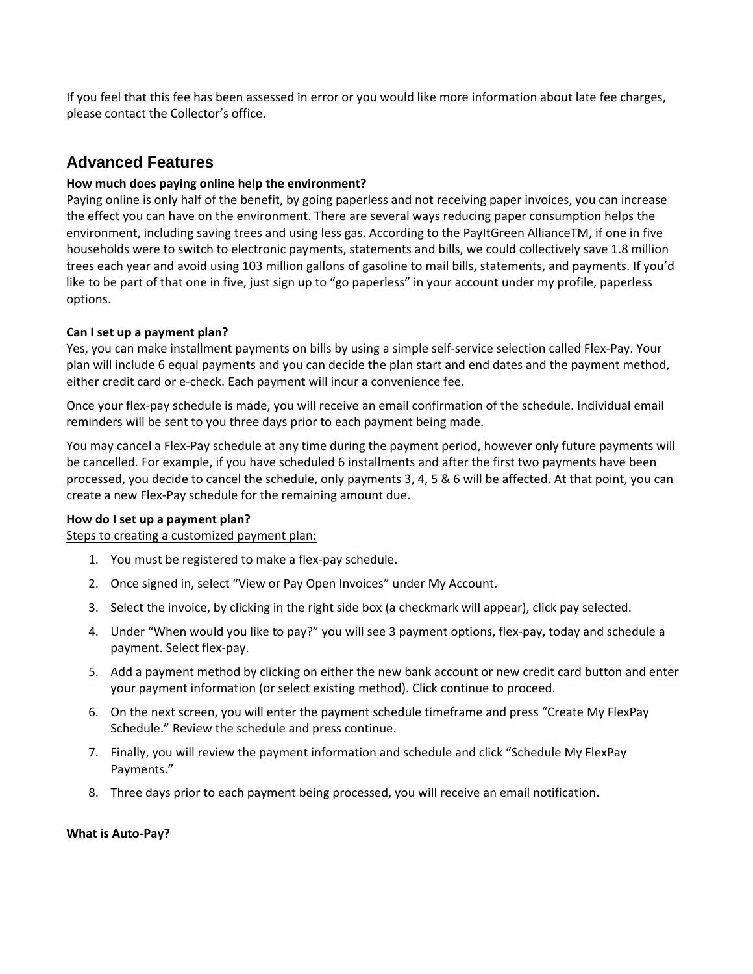If you feel that this fee has been assessed in error or you would like more information about late fee charges, please contact the Collector's office.

# **Advanced Features**

# **How much does paying online help the environment?**

Paying online is only half of the benefit, by going paperless and not receiving paper invoices, you can increase the effect you can have on the environment. There are several ways reducing paper consumption helps the environment, including saving trees and using less gas. According to the PayItGreen AllianceTM, if one in five households were to switch to electronic payments, statements and bills, we could collectively save 1.8 million trees each year and avoid using 103 million gallons of gasoline to mail bills, statements, and payments. If you'd like to be part of that one in five, just sign up to "go paperless" in your account under my profile, paperless options.

# **Can I set up a payment plan?**

Yes, you can make installment payments on bills by using a simple self‐service selection called Flex‐Pay. Your plan will include 6 equal payments and you can decide the plan start and end dates and the payment method, either credit card or e-check. Each payment will incur a convenience fee.

Once your flex‐pay schedule is made, you will receive an email confirmation of the schedule. Individual email reminders will be sent to you three days prior to each payment being made.

You may cancel a Flex‐Pay schedule at any time during the payment period, however only future payments will be cancelled. For example, if you have scheduled 6 installments and after the first two payments have been processed, you decide to cancel the schedule, only payments 3, 4, 5 & 6 will be affected. At that point, you can create a new Flex‐Pay schedule for the remaining amount due.

#### **How do I set up a payment plan?**

Steps to creating a customized payment plan:

- 1. You must be registered to make a flex‐pay schedule.
- 2. Once signed in, select "View or Pay Open Invoices" under My Account.
- 3. Select the invoice, by clicking in the right side box (a checkmark will appear), click pay selected.
- 4. Under "When would you like to pay?" you will see 3 payment options, flex‐pay, today and schedule a payment. Select flex‐pay.
- 5. Add a payment method by clicking on either the new bank account or new credit card button and enter your payment information (or select existing method). Click continue to proceed.
- 6. On the next screen, you will enter the payment schedule timeframe and press "Create My FlexPay Schedule." Review the schedule and press continue.
- 7. Finally, you will review the payment information and schedule and click "Schedule My FlexPay Payments."
- 8. Three days prior to each payment being processed, you will receive an email notification.

#### **What is Auto‐Pay?**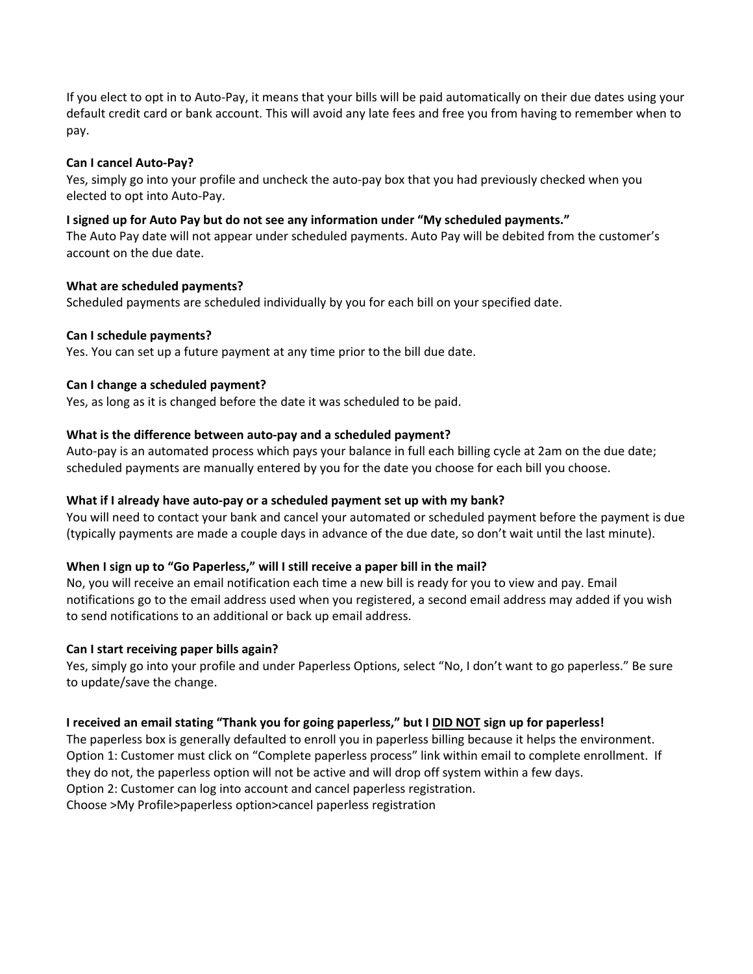If you elect to opt in to Auto‐Pay, it means that your bills will be paid automatically on their due dates using your default credit card or bank account. This will avoid any late fees and free you from having to remember when to pay.

#### **Can I cancel Auto‐Pay?**

Yes, simply go into your profile and uncheck the auto‐pay box that you had previously checked when you elected to opt into Auto‐Pay.

#### **I signed up for Auto Pay but do not see any information under "My scheduled payments."**

The Auto Pay date will not appear under scheduled payments. Auto Pay will be debited from the customer's account on the due date.

#### **What are scheduled payments?**

Scheduled payments are scheduled individually by you for each bill on your specified date.

#### **Can I schedule payments?**

Yes. You can set up a future payment at any time prior to the bill due date.

#### **Can I change a scheduled payment?**

Yes, as long as it is changed before the date it was scheduled to be paid.

#### **What is the difference between auto‐pay and a scheduled payment?**

Auto-pay is an automated process which pays your balance in full each billing cycle at 2am on the due date; scheduled payments are manually entered by you for the date you choose for each bill you choose.

#### **What if I already have auto‐pay or a scheduled payment set up with my bank?**

You will need to contact your bank and cancel your automated or scheduled payment before the payment is due (typically payments are made a couple days in advance of the due date, so don't wait until the last minute).

#### **When I sign up to "Go Paperless," will I still receive a paper bill in the mail?**

No, you will receive an email notification each time a new bill is ready for you to view and pay. Email notifications go to the email address used when you registered, a second email address may added if you wish to send notifications to an additional or back up email address.

#### **Can I start receiving paper bills again?**

Yes, simply go into your profile and under Paperless Options, select "No, I don't want to go paperless." Be sure to update/save the change.

#### **I received an email stating "Thank you for going paperless," but I DID NOT sign up for paperless!**

The paperless box is generally defaulted to enroll you in paperless billing because it helps the environment. Option 1: Customer must click on "Complete paperless process" link within email to complete enrollment. If they do not, the paperless option will not be active and will drop off system within a few days. Option 2: Customer can log into account and cancel paperless registration. Choose >My Profile>paperless option>cancel paperless registration